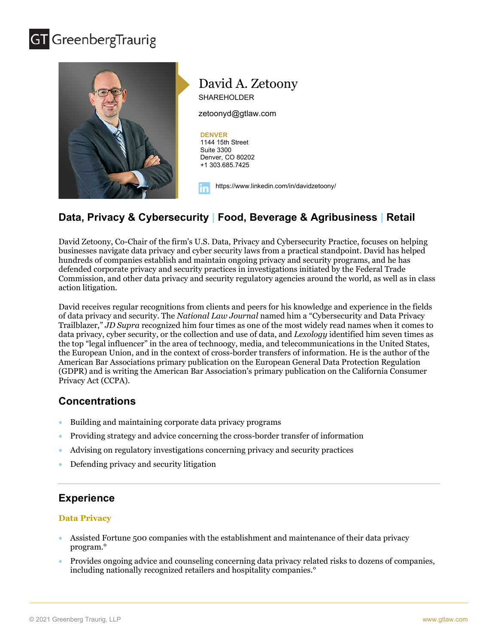## **GT** GreenbergTraurig



## **Data, Privacy & Cybersecurity | Food, Beverage & Agribusiness | Retail**

David Zetoony, Co-Chair of the firm's U.S. Data, Privacy and Cybersecurity Practice, focuses on helping businesses navigate data privacy and cyber security laws from a practical standpoint. David has helped hundreds of companies establish and maintain ongoing privacy and security programs, and he has defended corporate privacy and security practices in investigations initiated by the Federal Trade Commission, and other data privacy and security regulatory agencies around the world, as well as in class action litigation.

David receives regular recognitions from clients and peers for his knowledge and experience in the fields of data privacy and security. The *National Law Journal* named him a "Cybersecurity and Data Privacy Trailblazer," *JD Supra* recognized him four times as one of the most widely read names when it comes to data privacy, cyber security, or the collection and use of data, and *Lexology* identified him seven times as the top "legal influencer" in the area of technoogy, media, and telecommunications in the United States, the European Union, and in the context of cross-border transfers of information. He is the author of the American Bar Associations primary publication on the European General Data Protection Regulation (GDPR) and is writing the American Bar Association's primary publication on the California Consumer Privacy Act (CCPA).

## **Concentrations**

- Building and maintaining corporate data privacy programs
- Providing strategy and advice concerning the cross-border transfer of information
- Advising on regulatory investigations concerning privacy and security practices
- Defending privacy and security litigation

## **Experience**

#### **Data Privacy**

- Assisted Fortune 500 companies with the establishment and maintenance of their data privacy program.°
- Provides ongoing advice and counseling concerning data privacy related risks to dozens of companies, including nationally recognized retailers and hospitality companies.°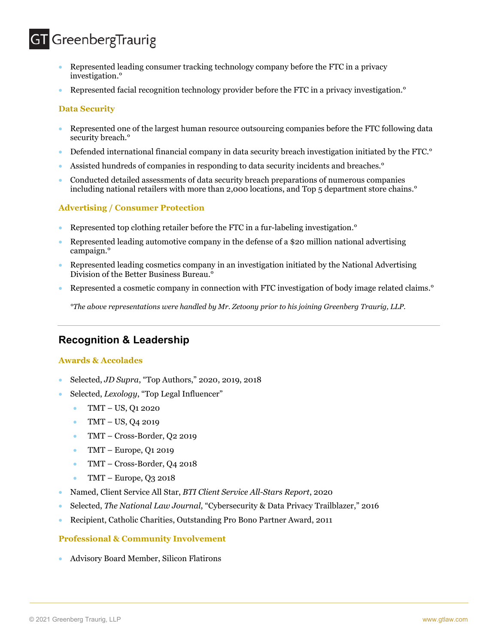## **GT** GreenbergTraurig

- Represented leading consumer tracking technology company before the FTC in a privacy investigation.°
- Represented facial recognition technology provider before the FTC in a privacy investigation.°

#### **Data Security**

- Represented one of the largest human resource outsourcing companies before the FTC following data security breach.<sup>o</sup>
- Defended international financial company in data security breach investigation initiated by the FTC.°
- Assisted hundreds of companies in responding to data security incidents and breaches.°
- Conducted detailed assessments of data security breach preparations of numerous companies including national retailers with more than 2,000 locations, and Top 5 department store chains.°

#### **Advertising / Consumer Protection**

- Represented top clothing retailer before the FTC in a fur-labeling investigation.°
- Represented leading automotive company in the defense of a \$20 million national advertising campaign.°
- Represented leading cosmetics company in an investigation initiated by the National Advertising Division of the Better Business Bureau.°
- Represented a cosmetic company in connection with FTC investigation of body image related claims.°

*°The above representations were handled by Mr. Zetoony prior to his joining Greenberg Traurig, LLP.*

## **Recognition & Leadership**

#### **Awards & Accolades**

- Selected, *JD Supra*, "Top Authors," 2020, 2019, 2018
- Selected, *Lexology*, "Top Legal Influencer"
	- TMT US, Q1 2020
	- TMT US, Q4 2019
	- TMT Cross-Border, Q2 2019
	- TMT Europe,  $Q1 2019$
	- TMT Cross-Border, Q4 2018
	- TMT Europe,  $Q_3$  2018
- Named, Client Service All Star, *BTI Client Service All-Stars Report*, 2020
- Selected, *The National Law Journal*, "Cybersecurity & Data Privacy Trailblazer," 2016
- Recipient, Catholic Charities, Outstanding Pro Bono Partner Award, 2011

#### **Professional & Community Involvement**

• Advisory Board Member, Silicon Flatirons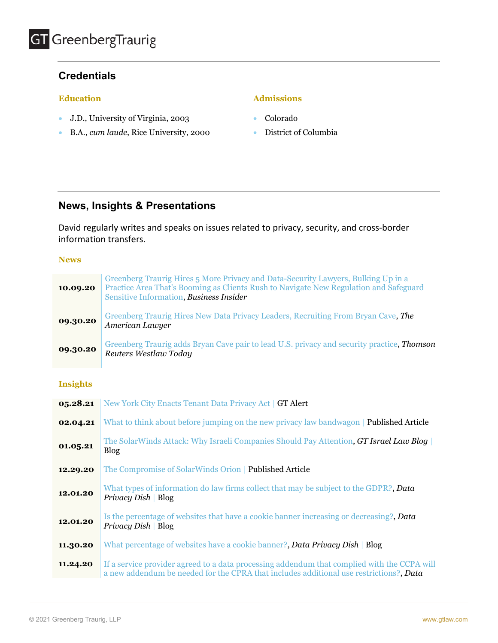## **Credentials**

#### **Education**

- J.D., University of Virginia, 2003
- B.A., *cum laude*, Rice University, 2000

#### **Admissions**

- Colorado
- District of Columbia

### **News, Insights & Presentations**

David regularly writes and speaks on issues related to privacy, security, and cross-border information transfers.

#### **News**

| 10.09.20 | Greenberg Traurig Hires 5 More Privacy and Data-Security Lawyers, Bulking Up in a<br>Practice Area That's Booming as Clients Rush to Navigate New Regulation and Safeguard<br>Sensitive Information, Business Insider |
|----------|-----------------------------------------------------------------------------------------------------------------------------------------------------------------------------------------------------------------------|
| 09.30.20 | Greenberg Traurig Hires New Data Privacy Leaders, Recruiting From Bryan Cave, The<br>American Lawyer                                                                                                                  |
| 09.30.20 | Greenberg Traurig adds Bryan Cave pair to lead U.S. privacy and security practice, <i>Thomson</i><br>Reuters Westlaw Today                                                                                            |

#### **Insights**

| 05.28.21 | New York City Enacts Tenant Data Privacy Act   GT Alert                                                                                                                               |
|----------|---------------------------------------------------------------------------------------------------------------------------------------------------------------------------------------|
| 02.04.21 | What to think about before jumping on the new privacy law bandwagon   <b>Published Article</b>                                                                                        |
| 01.05.21 | The SolarWinds Attack: Why Israeli Companies Should Pay Attention, GT Israel Law Blog<br><b>Blog</b>                                                                                  |
| 12.29.20 | The Compromise of SolarWinds Orion   Published Article                                                                                                                                |
| 12.01.20 | What types of information do law firms collect that may be subject to the GDPR?, Data<br>Privacy Dish   $Blog$                                                                        |
| 12.01.20 | Is the percentage of websites that have a cookie banner increasing or decreasing?, Data<br>Privacy Dish   Blog                                                                        |
| 11.30.20 | What percentage of websites have a cookie banner?, Data Privacy Dish   Blog                                                                                                           |
| 11.24.20 | If a service provider agreed to a data processing addendum that complied with the CCPA will<br>a new addendum be needed for the CPRA that includes additional use restrictions?, Data |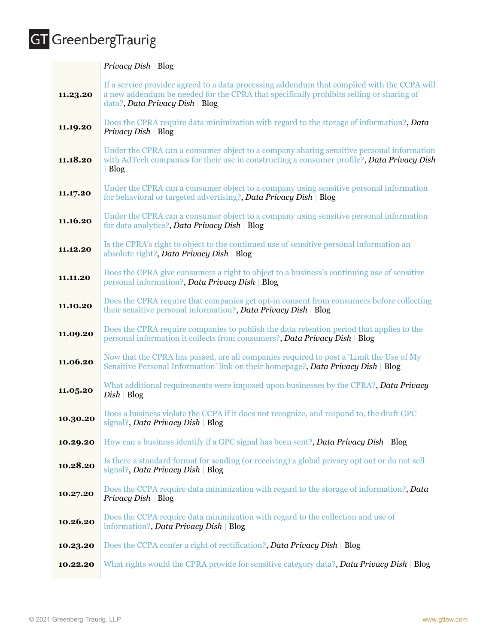# GT GreenbergTraurig

|          | Privacy Dish   Blog                                                                                                                                                                                                       |
|----------|---------------------------------------------------------------------------------------------------------------------------------------------------------------------------------------------------------------------------|
| 11.23.20 | If a service provider agreed to a data processing addendum that complied with the CCPA will<br>a new addendum be needed for the CPRA that specifically prohibits selling or sharing of<br>data?, Data Privacy Dish   Blog |
| 11.19.20 | Does the CPRA require data minimization with regard to the storage of information?, Data<br>Privacy Dish   Blog                                                                                                           |
| 11.18.20 | Under the CPRA can a consumer object to a company sharing sensitive personal information<br>with AdTech companies for their use in constructing a consumer profile?, Data Privacy Dish<br>Blog                            |
| 11.17.20 | Under the CPRA can a consumer object to a company using sensitive personal information<br>for behavioral or targeted advertising?, Data Privacy Dish   Blog                                                               |
| 11.16.20 | Under the CPRA can a consumer object to a company using sensitive personal information<br>for data analytics?, Data Privacy Dish   Blog                                                                                   |
| 11.12.20 | Is the CPRA's right to object to the continued use of sensitive personal information an<br>absolute right?, Data Privacy Dish   Blog                                                                                      |
| 11.11.20 | Does the CPRA give consumers a right to object to a business's continuing use of sensitive<br>personal information?, Data Privacy Dish   Blog                                                                             |
| 11.10.20 | Does the CPRA require that companies get opt-in consent from consumers before collecting<br>their sensitive personal information?, Data Privacy Dish   Blog                                                               |
| 11.09.20 | Does the CPRA require companies to publish the data retention period that applies to the<br>personal information it collects from consumers?, Data Privacy Dish   Blog                                                    |
| 11.06.20 | Now that the CPRA has passed, are all companies required to post a 'Limit the Use of My<br>Sensitive Personal Information' link on their homepage?, Data Privacy Dish   Blog                                              |
| 11.05.20 | What additional requirements were imposed upon businesses by the CPRA?, Data Privacy<br>$Disk \,   \, Blog$                                                                                                               |
| 10.30.20 | Does a business violate the CCPA if it does not recognize, and respond to, the draft GPC<br>signal?, Data Privacy Dish   Blog                                                                                             |
| 10.29.20 | How can a business identify if a GPC signal has been sent?, Data Privacy Dish   Blog                                                                                                                                      |
| 10.28.20 | Is there a standard format for sending (or receiving) a global privacy opt out or do not sell<br>signal?, Data Privacy Dish   Blog                                                                                        |
| 10.27.20 | Does the CCPA require data minimization with regard to the storage of information?, Data<br>Privacy Dish   Blog                                                                                                           |
| 10.26.20 | Does the CCPA require data minimization with regard to the collection and use of<br>information?, Data Privacy Dish   Blog                                                                                                |
| 10.23.20 | Does the CCPA confer a right of rectification?, Data Privacy Dish   Blog                                                                                                                                                  |
| 10.22.20 | What rights would the CPRA provide for sensitive category data?, Data Privacy Dish   Blog                                                                                                                                 |